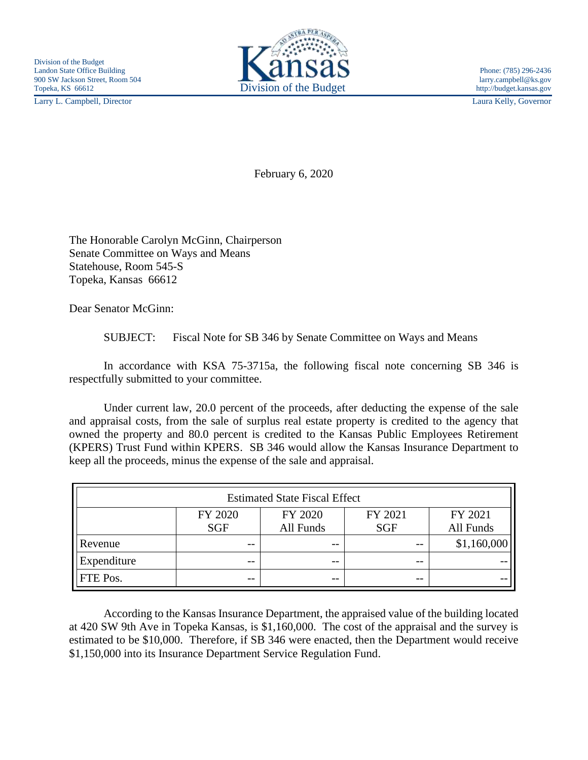Larry L. Campbell, Director Laura Kelly, Governor



February 6, 2020

The Honorable Carolyn McGinn, Chairperson Senate Committee on Ways and Means Statehouse, Room 545-S Topeka, Kansas 66612

Dear Senator McGinn:

SUBJECT: Fiscal Note for SB 346 by Senate Committee on Ways and Means

In accordance with KSA 75-3715a, the following fiscal note concerning SB 346 is respectfully submitted to your committee.

Under current law, 20.0 percent of the proceeds, after deducting the expense of the sale and appraisal costs, from the sale of surplus real estate property is credited to the agency that owned the property and 80.0 percent is credited to the Kansas Public Employees Retirement (KPERS) Trust Fund within KPERS. SB 346 would allow the Kansas Insurance Department to keep all the proceeds, minus the expense of the sale and appraisal.

| <b>Estimated State Fiscal Effect</b> |            |           |            |             |
|--------------------------------------|------------|-----------|------------|-------------|
|                                      | FY 2020    | FY 2020   | FY 2021    | FY 2021     |
|                                      | <b>SGF</b> | All Funds | <b>SGF</b> | All Funds   |
| Revenue                              | $- -$      | $- -$     | $ -$       | \$1,160,000 |
| Expenditure                          | $- -$      | $- -$     | $- -$      |             |
| FTE Pos.                             | --         | --        | $ -$       |             |

According to the Kansas Insurance Department, the appraised value of the building located at 420 SW 9th Ave in Topeka Kansas, is \$1,160,000. The cost of the appraisal and the survey is estimated to be \$10,000. Therefore, if SB 346 were enacted, then the Department would receive \$1,150,000 into its Insurance Department Service Regulation Fund.